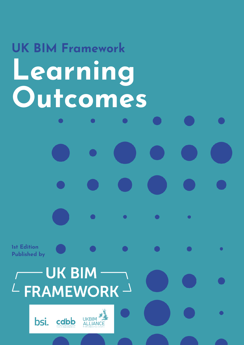# **UK BIM Framework Learning Outcomes**

**1st Edition Published by**

# **UK BIM**  $\angle$  FRAMEWORK  $\rightarrow$



 $\bullet$ 

 $\bullet$ 

 $\bullet$ 

 $\bullet$ 

 $\bullet$ 

 $\bullet$ 

 $\bullet$ 

 $\bullet$ 

 $\bullet$ 

 $\bullet$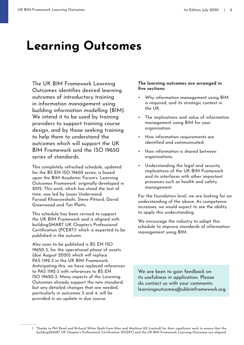The UK BIM Framework Learning Outcomes identifies desired learning outcomes of introductory training in information management using building information modelling (BIM). We intend it to be used by training providers to support training course design, and by those seeking training to help them to understand the outcomes which will support the UK BIM Framework and the ISO 19650 series of standards.

This completely refreshed schedule, updated for the BS EN ISO 19650 series, is based upon the BIM Academic Forum's 'Learning Outcomes Framework' originally developed in 2012. This work, which has stood the test of time, was led by Jason Underwood, Farzad Khosrowshahi, Steve Pittard, David Greenwood and Tim Platts.

This schedule has been revised to support the UK BIM Framework and is aligned with buildingSMART UK Chapter's Professional Certification (PCERT)<sup>1</sup> which is expected to be published in the autumn.

Also soon to be published is BS EN ISO 19650-3, for the operational phase of assets (due August 2020) which will replace PAS 1192-3 in the UK BIM Framework. Anticipating this, we have replaced references to PAS 1192-3 with references to BS EN ISO 19650-3. Many aspects of the Learning Outcomes already support the new standard, but any detailed changes that are needed, particularly in outcomes 3 and 4, will be provided in an update in due course.

#### **The learning outcomes are arranged in five sections:**

- Why information management using BIM is required, and its strategic context in the UK.
- The implications and value of information management using BIM for your organization.
- How information requirements are identified and communicated.
- How information is shared between organizations.
- Understanding the legal and security implications of the UK BIM Framework and its interfaces with other important processes such as health and safety management.

For the foundation level, we are looking for an understanding of the above. As competence increases, we would expect to see the ability to apply this understanding.

We encourage the industry to adopt this schedule to improve standards of information management using BIM.

We are keen to gain feedback on its usefulness in application. Please do contact us with your comments: [learningoutcomes@ukbimframework.org](mailto:learningoutcomes%40ukbimframework.org?subject=Learning%20Outcomes%20Comments)

<sup>1</sup> Thanks to Phil Read and Richard White (both from Man and Machine UK Limited) for their significant work to ensure that the buildingSMART UK Chapter's Professional Certification (PCERT) and the UK BIM Framework Learning Outcomes are aligned.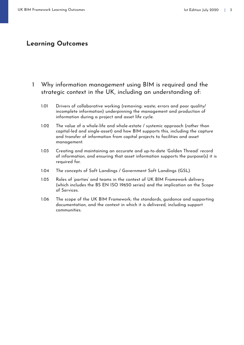#### 1 Why information management using BIM is required and the strategic context in the UK, including an understanding of:

- 1.01 Drivers of collaborative working (removing: waste; errors and poor quality/ incomplete information) underpinning the management and production of information during a project and asset life cycle.
- 1.02 The value of a whole-life and whole-estate / systemic approach (rather than capital-led and single-asset) and how BIM supports this, including the capture and transfer of information from capital projects to facilities and asset management.
- 1.03 Creating and maintaining an accurate and up-to-date 'Golden Thread' record of information, and ensuring that asset information supports the purpose(s) it is required for.
- 1.04 The concepts of Soft Landings / Government Soft Landings (GSL).
- 1.05 Roles of 'parties' and teams in the context of UK BIM Framework delivery (which includes the BS EN ISO 19650 series) and the implication on the Scope of Services.
- 1.06 The scope of the UK BIM Framework; the standards, guidance and supporting documentation, and the context in which it is delivered, including support communities.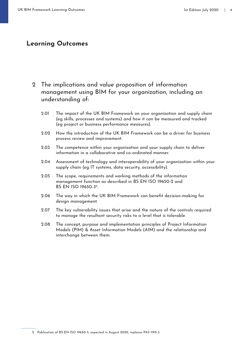- 2 The implications and value proposition of information management using BIM for your organization, including an understanding of:
	- 2.01 The impact of the UK BIM Framework on your organization and supply chain (eg skills, processes and systems) and how it can be measured and tracked (eg project or business performance measures).
	- 2.02 How the introduction of the UK BIM Framework can be a driver for business process review and improvement.
	- 2.03 The competence within your organization and your supply chain to deliver information in a collaborative and co-ordinated manner.
	- 2.04 Assessment of technology and interoperability of your organization within your supply chain (eg IT systems, data security, accessibility).
	- 2.05 The scope, requirements and working methods of the information management function as described in BS EN ISO 19650-2 and BS EN ISO 19650-32.
	- 2.06 The way in which the UK BIM Framework can benefit decision-making for design management.
	- 2.07 The key vulnerability issues that arise and the nature of the controls required to manage the resultant security risks to a level that is tolerable.
	- 2.08 The concept, purpose and implementation principles of Project Information Models (PIM) & Asset Information Models (AIM) and the relationship and interchange between them.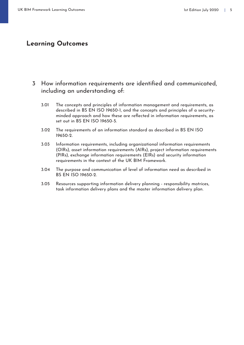#### 3 How information requirements are identified and communicated, including an understanding of:

- 3.01 The concepts and principles of information management and requirements, as described in BS EN ISO 19650-1, and the concepts and principles of a securityminded approach and how these are reflected in information requirements, as set out in BS EN ISO 19650-5.
- 3.02 The requirements of an information standard as described in BS EN ISO 19650-2.
- 3.03 Information requirements, including organizational information requirements (OIRs), asset information requirements (AIRs), project information requirements (PIRs), exchange information requirements (EIRs) and security information requirements in the context of the UK BIM Framework.
- 3.04 The purpose and communication of level of information need as described in BS EN ISO 19650-2.
- 3.05 Resources supporting information delivery planning responsibility matrices, task information delivery plans and the master information delivery plan.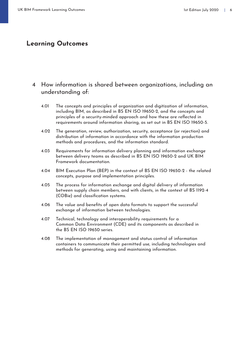#### 4 How information is shared between organizations, including an understanding of:

- 4.01 The concepts and principles of organization and digitization of information, including BIM, as described in BS EN ISO 19650-2, and the concepts and principles of a security-minded approach and how these are reflected in requirements around information sharing, as set out in BS EN ISO 19650-5.
- 4.02 The generation, review, authorization, security, acceptance (or rejection) and distribution of information in accordance with the information production methods and procedures, and the information standard.
- 4.03 Requirements for information delivery planning and information exchange between delivery teams as described in BS EN ISO 19650-2 and UK BIM Framework documentation.
- 4.04 BIM Execution Plan (BEP) in the context of BS EN ISO 19650-2 the related concepts, purpose and implementation principles.
- 4.05 The process for information exchange and digital delivery of information between supply chain members, and with clients, in the context of BS 1192-4 (COBie) and classification systems.
- 4.06 The value and benefits of open data formats to support the successful exchange of information between technologies.
- 4.07 Technical, technology and interoperability requirements for a Common Data Environment (CDE) and its components as described in the BS EN ISO 19650 series.
- 4.08 The implementation of management and status control of information containers to communicate their permitted use, including technologies and methods for generating, using and maintaining information.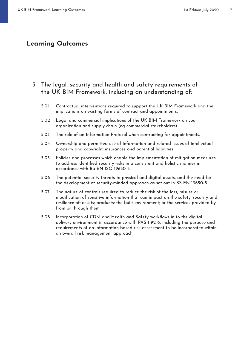#### 5 The legal, security and health and safety requirements of the UK BIM Framework, including an understanding of:

- 5.01 Contractual interventions required to support the UK BIM Framework and the implications on existing forms of contract and appointments.
- 5.02 Legal and commercial implications of the UK BIM Framework on your organization and supply chain (eg commercial stakeholders).
- 5.03 The role of an Information Protocol when contracting for appointments.
- 5.04 Ownership and permitted use of information and related issues of intellectual property and copyright, insurances and potential liabilities.
- 5.05 Policies and processes which enable the implementation of mitigation measures to address identified security risks in a consistent and holistic manner in accordance with BS EN ISO 19650-5.
- 5.06 The potential security threats to physical and digital assets, and the need for the development of security-minded approach as set out in BS EN 19650-5.
- 5.07 The nature of controls required to reduce the risk of the loss, misuse or modification of sensitive information that can impact on the safety, security and resilience of: assets; products; the built environment; or the services provided by, from or through them.
- 5.08 Incorporation of CDM and Health and Safety workflows in to the digital delivery environment in accordance with PAS 1192-6, including the purpose and requirements of an information-based risk assessment to be incorporated within an overall risk management approach.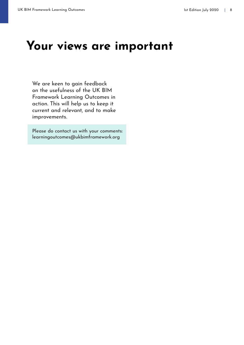### **Your views are important**

We are keen to gain feedback on the usefulness of the UK BIM Framework Learning Outcomes in action. This will help us to keep it current and relevant, and to make improvements.

Please do contact us with your comments: [learningoutcomes@ukbimframework.org](mailto:learningoutcomes%40ukbimframework.org?subject=Learning%20Outcome%20Comments)